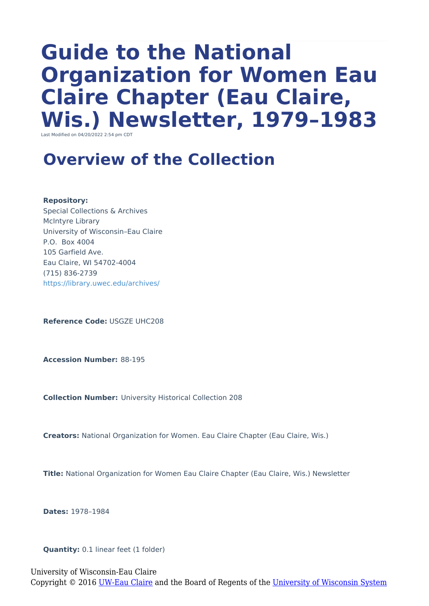# **Guide to the National Organization for Women Eau Claire Chapter (Eau Claire, Wis.) Newsletter, 1979–1983**

Last Modified on 04/20/2022 2:54 pm CD

### **Overview of the Collection**

**Repository:**

Special Collections & Archives McIntyre Library University of Wisconsin–Eau Claire P.O. Box 4004 105 Garfield Ave. Eau Claire, WI 54702-4004 (715) 836-2739 <https://library.uwec.edu/archives/>

**Reference Code:** USGZE UHC208

**Accession Number:** 88-195

**Collection Number:** University Historical Collection 208

**Creators:** National Organization for Women. Eau Claire Chapter (Eau Claire, Wis.)

**Title:** National Organization for Women Eau Claire Chapter (Eau Claire, Wis.) Newsletter

**Dates:** 1978–1984

**Quantity:** 0.1 linear feet (1 folder)

University of Wisconsin-Eau Claire Copyright © 2016 [UW-Eau Claire](http://www.uwec.edu) and the Board of Regents of the [University of Wisconsin System](http://www.uwsa.edu/)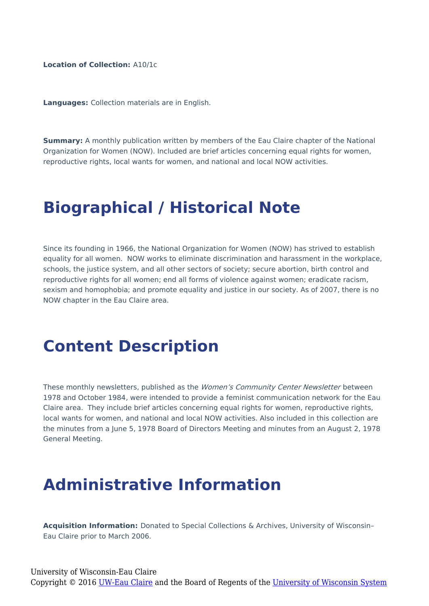**Location of Collection:** A10/1c

**Languages:** Collection materials are in English.

**Summary:** A monthly publication written by members of the Eau Claire chapter of the National Organization for Women (NOW). Included are brief articles concerning equal rights for women, reproductive rights, local wants for women, and national and local NOW activities.

#### **Biographical / Historical Note**

Since its founding in 1966, the National Organization for Women (NOW) has strived to establish equality for all women. NOW works to eliminate discrimination and harassment in the workplace. schools, the justice system, and all other sectors of society; secure abortion, birth control and reproductive rights for all women; end all forms of violence against women; eradicate racism, sexism and homophobia; and promote equality and justice in our society. As of 2007, there is no NOW chapter in the Eau Claire area.

#### **Content Description**

These monthly newsletters, published as the Women's Community Center Newsletter between 1978 and October 1984, were intended to provide a feminist communication network for the Eau Claire area. They include brief articles concerning equal rights for women, reproductive rights, local wants for women, and national and local NOW activities. Also included in this collection are the minutes from a June 5, 1978 Board of Directors Meeting and minutes from an August 2, 1978 General Meeting.

## **Administrative Information**

**Acquisition Information:** Donated to Special Collections & Archives, University of Wisconsin– Eau Claire prior to March 2006.